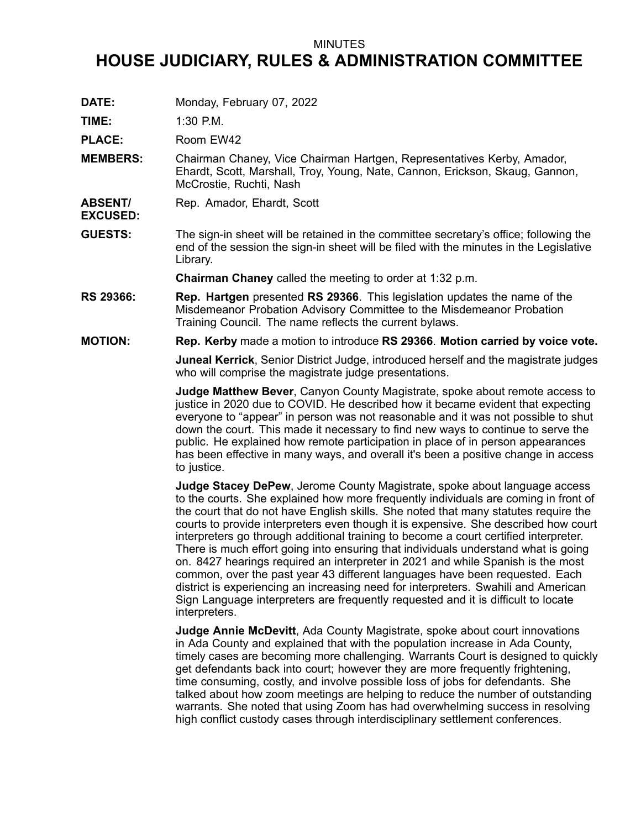## MINUTES

## **HOUSE JUDICIARY, RULES & ADMINISTRATION COMMITTEE**

**DATE:** Monday, February 07, 2022

**TIME:** 1:30 P.M.

**EXCUSED:**

PLACE: Room EW42

- **MEMBERS:** Chairman Chaney, Vice Chairman Hartgen, Representatives Kerby, Amador, Ehardt, Scott, Marshall, Troy, Young, Nate, Cannon, Erickson, Skaug, Gannon, McCrostie, Ruchti, Nash
- **ABSENT/** Rep. Amador, Ehardt, Scott
- **GUESTS:** The sign-in sheet will be retained in the committee secretary's office; following the end of the session the sign-in sheet will be filed with the minutes in the Legislative Library.

**Chairman Chaney** called the meeting to order at 1:32 p.m.

- **RS 29366: Rep. Hartgen** presented **RS 29366**. This legislation updates the name of the Misdemeanor Probation Advisory Committee to the Misdemeanor Probation Training Council. The name reflects the current bylaws.
- **MOTION: Rep. Kerby** made <sup>a</sup> motion to introduce **RS 29366**. **Motion carried by voice vote.**

**Juneal Kerrick**, Senior District Judge, introduced herself and the magistrate judges who will comprise the magistrate judge presentations.

**Judge Matthew Bever**, Canyon County Magistrate, spoke about remote access to justice in 2020 due to COVID. He described how it became evident that expecting everyone to "appear" in person was not reasonable and it was not possible to shut down the court. This made it necessary to find new ways to continue to serve the public. He explained how remote participation in place of in person appearances has been effective in many ways, and overall it's been <sup>a</sup> positive change in access to justice.

**Judge Stacey DePew**, Jerome County Magistrate, spoke about language access to the courts. She explained how more frequently individuals are coming in front of the court that do not have English skills. She noted that many statutes require the courts to provide interpreters even though it is expensive. She described how court interpreters go through additional training to become <sup>a</sup> court certified interpreter. There is much effort going into ensuring that individuals understand what is going on. 8427 hearings required an interpreter in 2021 and while Spanish is the most common, over the past year 43 different languages have been requested. Each district is experiencing an increasing need for interpreters. Swahili and American Sign Language interpreters are frequently requested and it is difficult to locate interpreters.

**Judge Annie McDevitt**, Ada County Magistrate, spoke about court innovations in Ada County and explained that with the population increase in Ada County, timely cases are becoming more challenging. Warrants Court is designed to quickly get defendants back into court; however they are more frequently frightening, time consuming, costly, and involve possible loss of jobs for defendants. She talked about how zoom meetings are helping to reduce the number of outstanding warrants. She noted that using Zoom has had overwhelming success in resolving high conflict custody cases through interdisciplinary settlement conferences.